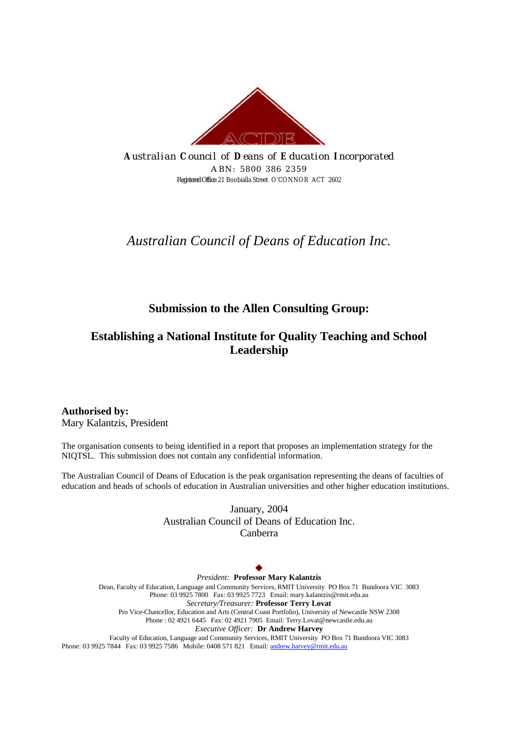

*A ustralian C ouncil of D eans of E ducation I ncorporated ABN: 5800 386 2359 Registered Office:* 21 Boobialla Street O'CONNOR ACT 2602

# *Australian Council of Deans of Education Inc.*

# **Submission to the Allen Consulting Group:**

# **Establishing a National Institute for Quality Teaching and School Leadership**

**Authorised by:**  Mary Kalantzis, President

The organisation consents to being identified in a report that proposes an implementation strategy for the NIQTSL. This submission does not contain any confidential information.

The Australian Council of Deans of Education is the peak organisation representing the deans of faculties of education and heads of schools of education in Australian universities and other higher education institutions.

> January, 2004 Australian Council of Deans of Education Inc. Canberra

#### $\blacklozenge$

*President:* **Professor Mary Kalantzis** Dean, Faculty of Education, Language and Community Services, RMIT University PO Box 71 Bundoora VIC 3083 Phone: 03 9925 7800 Fax: 03 9925 7723 Email: mary.kalantzis@rmit.edu.au *Secretary/Treasurer:* **Professor Terry Lovat** Pro Vice-Chancellor, Education and Arts (Central Coast Portfolio), University of Newcastle NSW 2308 Phone : 02 4921 6445 Fax: 02 4921 7905 Email: Terry.Lovat@newcastle.edu.au *Executive Officer:* **Dr Andrew Harvey** Faculty of Education, Language and Community Services, RMIT University PO Box 71 Bundoora VIC 3083

Phone: 03 9925 7844 Fax: 03 9925 7586 Mobile: 0408 571 821 Email: andrew.harvey@rmit.edu.au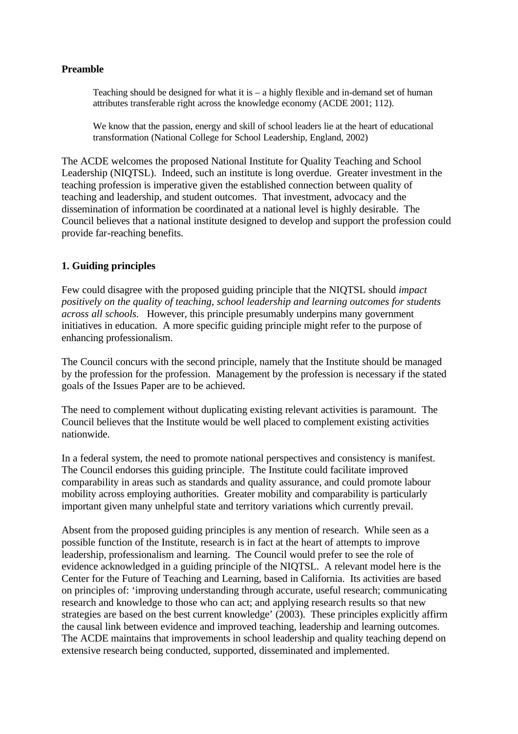#### **Preamble**

Teaching should be designed for what it is  $-$  a highly flexible and in-demand set of human attributes transferable right across the knowledge economy (ACDE 2001; 112).

We know that the passion, energy and skill of school leaders lie at the heart of educational transformation (National College for School Leadership, England, 2002)

The ACDE welcomes the proposed National Institute for Quality Teaching and School Leadership (NIQTSL). Indeed, such an institute is long overdue. Greater investment in the teaching profession is imperative given the established connection between quality of teaching and leadership, and student outcomes. That investment, advocacy and the dissemination of information be coordinated at a national level is highly desirable. The Council believes that a national institute designed to develop and support the profession could provide far-reaching benefits.

# **1. Guiding principles**

Few could disagree with the proposed guiding principle that the NIQTSL should *impact positively on the quality of teaching, school leadership and learning outcomes for students across all schools*. However, this principle presumably underpins many government initiatives in education. A more specific guiding principle might refer to the purpose of enhancing professionalism.

The Council concurs with the second principle, namely that the Institute should be managed by the profession for the profession. Management by the profession is necessary if the stated goals of the Issues Paper are to be achieved.

The need to complement without duplicating existing relevant activities is paramount. The Council believes that the Institute would be well placed to complement existing activities nationwide.

In a federal system, the need to promote national perspectives and consistency is manifest. The Council endorses this guiding principle. The Institute could facilitate improved comparability in areas such as standards and quality assurance, and could promote labour mobility across employing authorities. Greater mobility and comparability is particularly important given many unhelpful state and territory variations which currently prevail.

Absent from the proposed guiding principles is any mention of research. While seen as a possible function of the Institute, research is in fact at the heart of attempts to improve leadership, professionalism and learning. The Council would prefer to see the role of evidence acknowledged in a guiding principle of the NIQTSL. A relevant model here is the Center for the Future of Teaching and Learning, based in California. Its activities are based on principles of: 'improving understanding through accurate, useful research; communicating research and knowledge to those who can act; and applying research results so that new strategies are based on the best current knowledge' (2003). These principles explicitly affirm the causal link between evidence and improved teaching, leadership and learning outcomes. The ACDE maintains that improvements in school leadership and quality teaching depend on extensive research being conducted, supported, disseminated and implemented.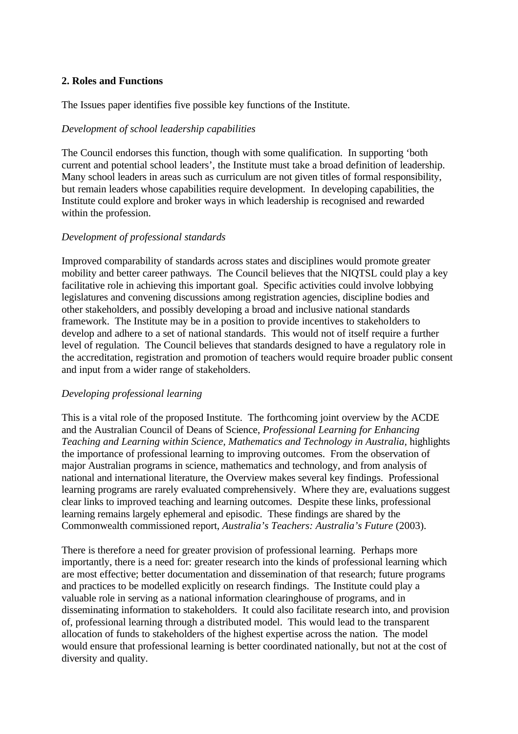#### **2. Roles and Functions**

The Issues paper identifies five possible key functions of the Institute.

### *Development of school leadership capabilities*

The Council endorses this function, though with some qualification. In supporting 'both current and potential school leaders', the Institute must take a broad definition of leadership. Many school leaders in areas such as curriculum are not given titles of formal responsibility, but remain leaders whose capabilities require development. In developing capabilities, the Institute could explore and broker ways in which leadership is recognised and rewarded within the profession.

#### *Development of professional standards*

Improved comparability of standards across states and disciplines would promote greater mobility and better career pathways. The Council believes that the NIQTSL could play a key facilitative role in achieving this important goal. Specific activities could involve lobbying legislatures and convening discussions among registration agencies, discipline bodies and other stakeholders, and possibly developing a broad and inclusive national standards framework. The Institute may be in a position to provide incentives to stakeholders to develop and adhere to a set of national standards. This would not of itself require a further level of regulation. The Council believes that standards designed to have a regulatory role in the accreditation, registration and promotion of teachers would require broader public consent and input from a wider range of stakeholders.

#### *Developing professional learning*

This is a vital role of the proposed Institute. The forthcoming joint overview by the ACDE and the Australian Council of Deans of Science, *Professional Learning for Enhancing Teaching and Learning within Science, Mathematics and Technology in Australia,* highlights the importance of professional learning to improving outcomes. From the observation of major Australian programs in science, mathematics and technology, and from analysis of national and international literature, the Overview makes several key findings. Professional learning programs are rarely evaluated comprehensively. Where they are, evaluations suggest clear links to improved teaching and learning outcomes. Despite these links, professional learning remains largely ephemeral and episodic. These findings are shared by the Commonwealth commissioned report, *Australia's Teachers: Australia's Future* (2003).

There is therefore a need for greater provision of professional learning. Perhaps more importantly, there is a need for: greater research into the kinds of professional learning which are most effective; better documentation and dissemination of that research; future programs and practices to be modelled explicitly on research findings. The Institute could play a valuable role in serving as a national information clearinghouse of programs, and in disseminating information to stakeholders. It could also facilitate research into, and provision of, professional learning through a distributed model. This would lead to the transparent allocation of funds to stakeholders of the highest expertise across the nation. The model would ensure that professional learning is better coordinated nationally, but not at the cost of diversity and quality.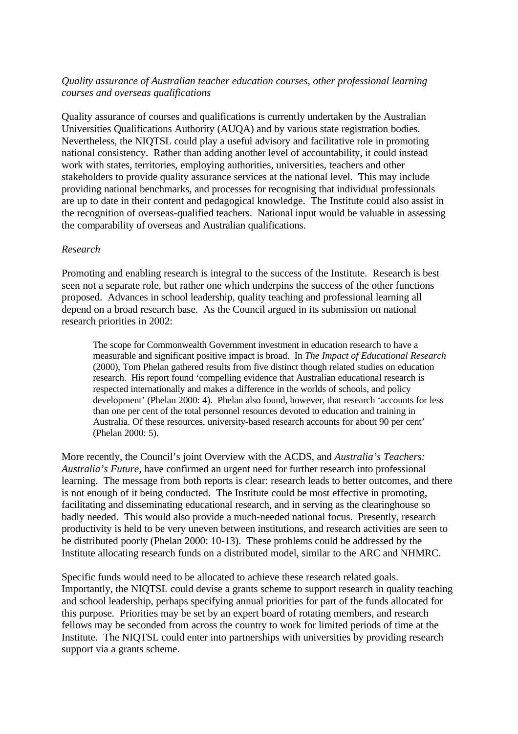#### *Quality assurance of Australian teacher education courses, other professional learning courses and overseas qualifications*

Quality assurance of courses and qualifications is currently undertaken by the Australian Universities Qualifications Authority (AUQA) and by various state registration bodies. Nevertheless, the NIQTSL could play a useful advisory and facilitative role in promoting national consistency. Rather than adding another level of accountability, it could instead work with states, territories, employing authorities, universities, teachers and other stakeholders to provide quality assurance services at the national level. This may include providing national benchmarks, and processes for recognising that individual professionals are up to date in their content and pedagogical knowledge. The Institute could also assist in the recognition of overseas-qualified teachers. National input would be valuable in assessing the comparability of overseas and Australian qualifications.

#### *Research*

Promoting and enabling research is integral to the success of the Institute. Research is best seen not a separate role, but rather one which underpins the success of the other functions proposed. Advances in school leadership, quality teaching and professional learning all depend on a broad research base. As the Council argued in its submission on national research priorities in 2002:

The scope for Commonwealth Government investment in education research to have a measurable and significant positive impact is broad. In *The Impact of Educational Research* (2000), Tom Phelan gathered results from five distinct though related studies on education research. His report found 'compelling evidence that Australian educational research is respected internationally and makes a difference in the worlds of schools, and policy development' (Phelan 2000: 4). Phelan also found, however, that research 'accounts for less than one per cent of the total personnel resources devoted to education and training in Australia. Of these resources, university-based research accounts for about 90 per cent' (Phelan 2000: 5).

More recently, the Council's joint Overview with the ACDS, and *Australia's Teachers: Australia's Future*, have confirmed an urgent need for further research into professional learning. The message from both reports is clear: research leads to better outcomes, and there is not enough of it being conducted. The Institute could be most effective in promoting, facilitating and disseminating educational research, and in serving as the clearinghouse so badly needed. This would also provide a much-needed national focus. Presently, research productivity is held to be very uneven between institutions, and research activities are seen to be distributed poorly (Phelan 2000: 10-13). These problems could be addressed by the Institute allocating research funds on a distributed model, similar to the ARC and NHMRC.

Specific funds would need to be allocated to achieve these research related goals. Importantly, the NIQTSL could devise a grants scheme to support research in quality teaching and school leadership, perhaps specifying annual priorities for part of the funds allocated for this purpose. Priorities may be set by an expert board of rotating members, and research fellows may be seconded from across the country to work for limited periods of time at the Institute. The NIQTSL could enter into partnerships with universities by providing research support via a grants scheme.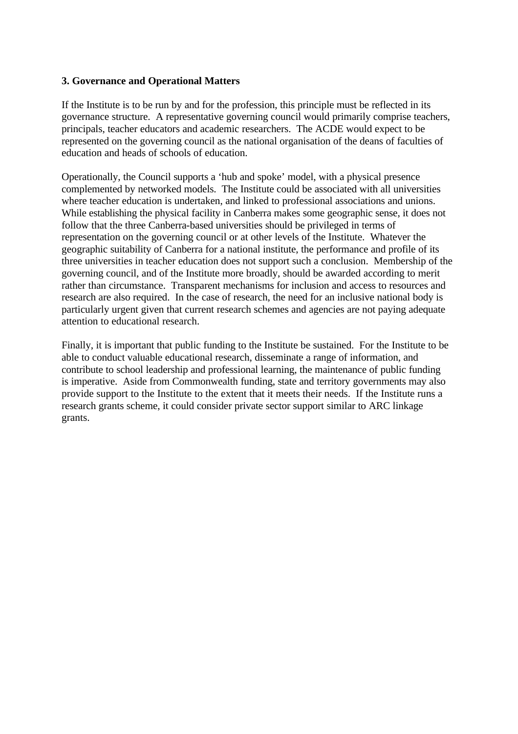#### **3. Governance and Operational Matters**

If the Institute is to be run by and for the profession, this principle must be reflected in its governance structure. A representative governing council would primarily comprise teachers, principals, teacher educators and academic researchers. The ACDE would expect to be represented on the governing council as the national organisation of the deans of faculties of education and heads of schools of education.

Operationally, the Council supports a 'hub and spoke' model, with a physical presence complemented by networked models. The Institute could be associated with all universities where teacher education is undertaken, and linked to professional associations and unions. While establishing the physical facility in Canberra makes some geographic sense, it does not follow that the three Canberra-based universities should be privileged in terms of representation on the governing council or at other levels of the Institute. Whatever the geographic suitability of Canberra for a national institute, the performance and profile of its three universities in teacher education does not support such a conclusion. Membership of the governing council, and of the Institute more broadly, should be awarded according to merit rather than circumstance. Transparent mechanisms for inclusion and access to resources and research are also required. In the case of research, the need for an inclusive national body is particularly urgent given that current research schemes and agencies are not paying adequate attention to educational research.

Finally, it is important that public funding to the Institute be sustained. For the Institute to be able to conduct valuable educational research, disseminate a range of information, and contribute to school leadership and professional learning, the maintenance of public funding is imperative. Aside from Commonwealth funding, state and territory governments may also provide support to the Institute to the extent that it meets their needs. If the Institute runs a research grants scheme, it could consider private sector support similar to ARC linkage grants.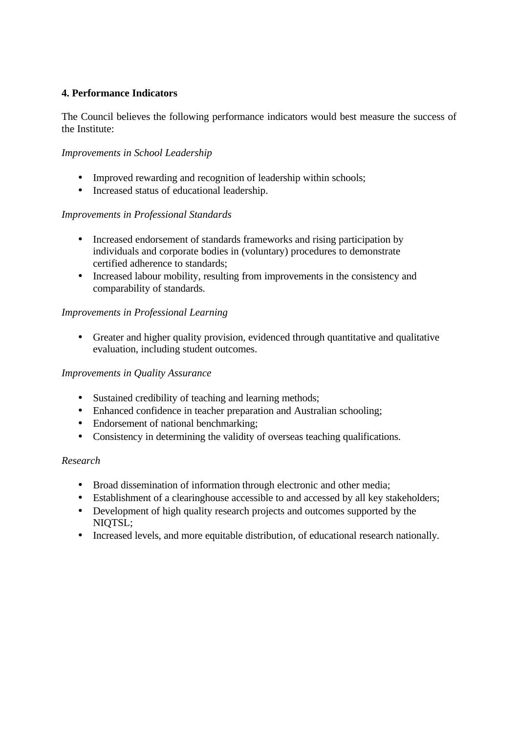# **4. Performance Indicators**

The Council believes the following performance indicators would best measure the success of the Institute:

# *Improvements in School Leadership*

- Improved rewarding and recognition of leadership within schools:
- Increased status of educational leadership.

# *Improvements in Professional Standards*

- Increased endorsement of standards frameworks and rising participation by individuals and corporate bodies in (voluntary) procedures to demonstrate certified adherence to standards;
- Increased labour mobility, resulting from improvements in the consistency and comparability of standards.

# *Improvements in Professional Learning*

• Greater and higher quality provision, evidenced through quantitative and qualitative evaluation, including student outcomes.

# *Improvements in Quality Assurance*

- Sustained credibility of teaching and learning methods;
- Enhanced confidence in teacher preparation and Australian schooling;
- Endorsement of national benchmarking;
- Consistency in determining the validity of overseas teaching qualifications.

# *Research*

- Broad dissemination of information through electronic and other media;
- Establishment of a clearinghouse accessible to and accessed by all key stakeholders;
- Development of high quality research projects and outcomes supported by the NIQTSL;
- Increased levels, and more equitable distribution, of educational research nationally.